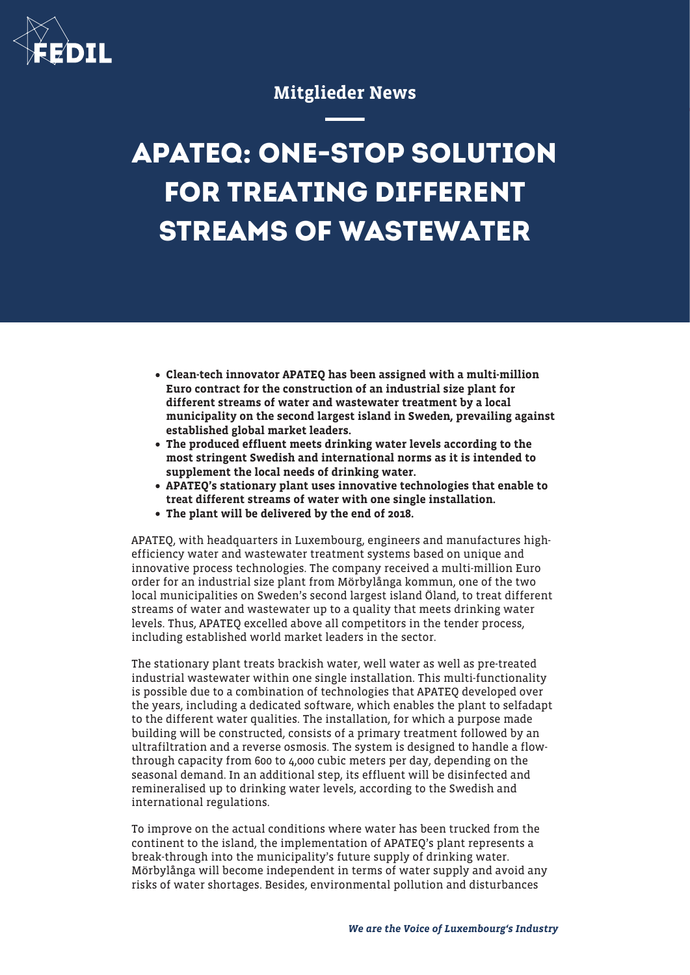

## Mitglieder News

## **APATEQ: ONE-STOP SOLUTION FOR TREATING DIFFERENT STREAMS OF WASTEWATER**

- Clean-tech innovator APATEQ has been assigned with a multi-million Euro contract for the construction of an industrial size plant for different streams of water and wastewater treatment by a local municipality on the second largest island in Sweden, prevailing against established global market leaders.
- The produced effluent meets drinking water levels according to the most stringent Swedish and international norms as it is intended to supplement the local needs of drinking water.
- APATEQ's stationary plant uses innovative technologies that enable to treat different streams of water with one single installation.
- The plant will be delivered by the end of 2018.

APATEQ, with headquarters in Luxembourg, engineers and manufactures highefficiency water and wastewater treatment systems based on unique and innovative process technologies. The company received a multi-million Euro order for an industrial size plant from Mörbylånga kommun, one of the two local municipalities on Sweden's second largest island Öland, to treat different streams of water and wastewater up to a quality that meets drinking water levels. Thus, APATEQ excelled above all competitors in the tender process, including established world market leaders in the sector.

The stationary plant treats brackish water, well water as well as pre-treated industrial wastewater within one single installation. This multi-functionality is possible due to a combination of technologies that APATEQ developed over the years, including a dedicated software, which enables the plant to selfadapt to the different water qualities. The installation, for which a purpose made building will be constructed, consists of a primary treatment followed by an ultrafiltration and a reverse osmosis. The system is designed to handle a flowthrough capacity from 600 to 4,000 cubic meters per day, depending on the seasonal demand. In an additional step, its effluent will be disinfected and remineralised up to drinking water levels, according to the Swedish and international regulations.

To improve on the actual conditions where water has been trucked from the continent to the island, the implementation of APATEQ's plant represents a break-through into the municipality's future supply of drinking water. Mörbylånga will become independent in terms of water supply and avoid any risks of water shortages. Besides, environmental pollution and disturbances